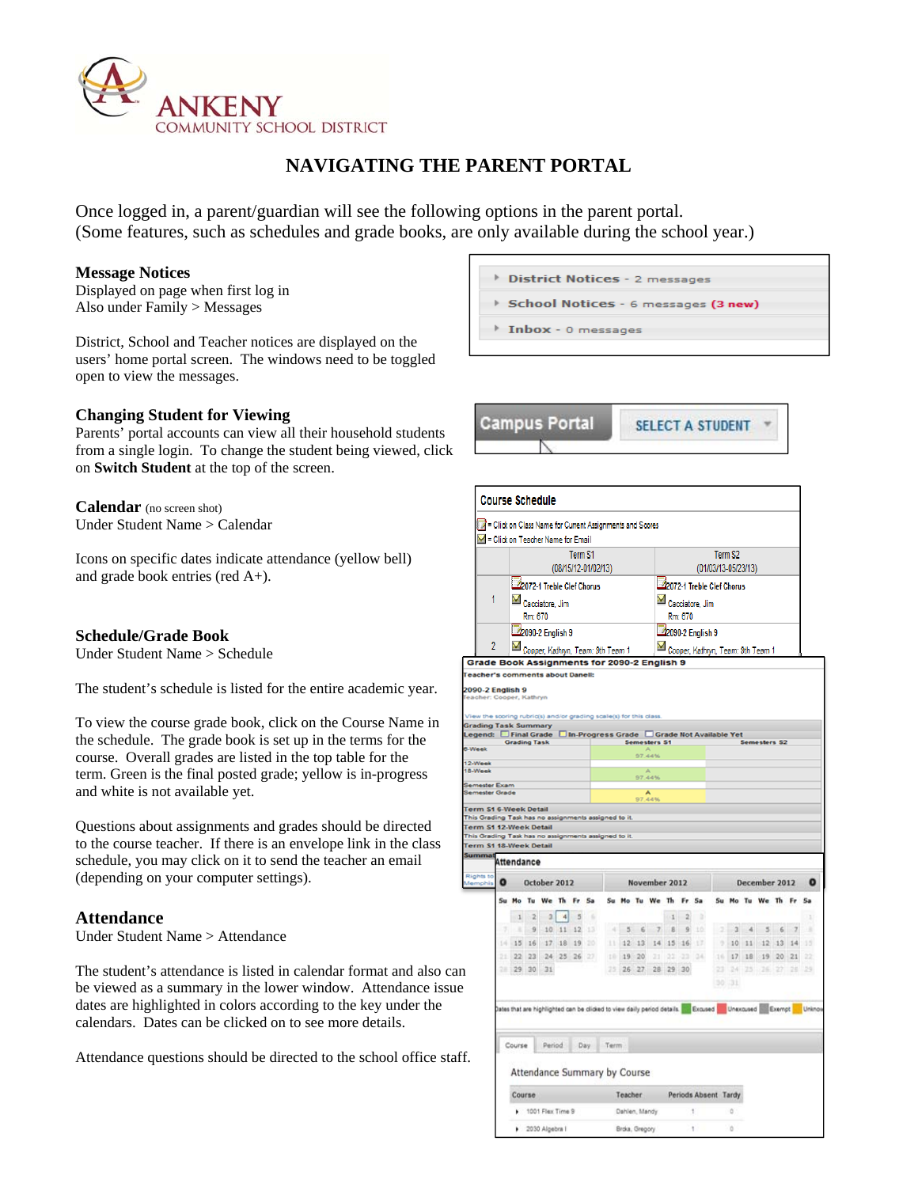

# **NAVIGATING THE PARENT PORTAL**

Once logged in, a parent/guardian will see the following options in the parent portal. (Some features, such as schedules and grade books, are only available during the school year.)

#### **Message Notices**

Displayed on page when first log in Also under Family > Messages

District, School and Teacher notices are displayed on the users' home portal screen. The windows need to be toggled open to view the messages.

### **Changing Student for Viewing**

Parents' portal accounts can view all their household students from a single login. To change the student being viewed, click on **Switch Student** at the top of the screen.

**Calendar** (no screen shot) Under Student Name > Calendar

Icons on specific dates indicate attendance (yellow bell) and grade book entries (red A+).

#### **Schedule/Grade Book**

Under Student Name > Schedule

The student's schedule is listed for the entire academic year.

To view the course grade book, click on the Course Name in the schedule. The grade book is set up in the terms for the course. Overall grades are listed in the top table for the term. Green is the final posted grade; yellow is in-progress and white is not available yet.

Questions about assignments and grades should be directed to the course teacher. If there is an envelope link in the class schedule, you may click on it to send the teacher an email (depending on your computer settings).

#### **Attendance**

Under Student Name > Attendance

The student's attendance is listed in calendar format and also can be viewed as a summary in the lower window. Attendance issue dates are highlighted in colors according to the key under the calendars. Dates can be clicked on to see more details.

Attendance questions should be directed to the school office staff.

| <b>District Notices</b> - 2 messages |
|--------------------------------------|
| School Notices - 6 messages (3 new)  |
| Inbox - 0 messages                   |
|                                      |
|                                      |

**Campus Portal SELECT A STUDENT** 

|                                                                                                                                                                                                                                         |                                   | TW = Click on Class Name for Current Assignments and Scores                                                                |                  |                |                     |                    |     |      |            |                     |                                              |                                   |                |                      |                     |               |      |                      |            |               |             |
|-----------------------------------------------------------------------------------------------------------------------------------------------------------------------------------------------------------------------------------------|-----------------------------------|----------------------------------------------------------------------------------------------------------------------------|------------------|----------------|---------------------|--------------------|-----|------|------------|---------------------|----------------------------------------------|-----------------------------------|----------------|----------------------|---------------------|---------------|------|----------------------|------------|---------------|-------------|
|                                                                                                                                                                                                                                         |                                   | Click on Teacher Name for Email                                                                                            |                  |                |                     |                    |     |      |            |                     |                                              |                                   |                |                      |                     |               |      |                      |            |               |             |
|                                                                                                                                                                                                                                         |                                   |                                                                                                                            |                  |                |                     | Term <sub>S1</sub> |     |      |            |                     |                                              |                                   |                |                      |                     | Term S2       |      |                      |            |               |             |
|                                                                                                                                                                                                                                         |                                   |                                                                                                                            |                  |                | (08/15/12-01/02/13) |                    |     |      |            |                     |                                              |                                   |                |                      | (01/03/13-05/23/13) |               |      |                      |            |               |             |
|                                                                                                                                                                                                                                         | 2072-1 Treble Clef Chorus         |                                                                                                                            |                  |                |                     |                    |     |      |            |                     | 2072-1 Treble Clef Chorus<br>Cacciatore, Jim |                                   |                |                      |                     |               |      |                      |            |               |             |
|                                                                                                                                                                                                                                         | 1<br>Cacciatore, Jim<br>Rm: 670   |                                                                                                                            |                  |                |                     |                    |     |      |            |                     |                                              |                                   |                |                      |                     |               |      |                      |            |               |             |
|                                                                                                                                                                                                                                         |                                   |                                                                                                                            |                  |                |                     | Rm: 670            |     |      |            |                     |                                              |                                   |                |                      |                     |               |      |                      |            |               |             |
|                                                                                                                                                                                                                                         |                                   | 2090-2 English 9                                                                                                           |                  |                |                     |                    |     |      |            |                     |                                              |                                   |                | 2090-2 English 9     |                     |               |      |                      |            |               |             |
| 2                                                                                                                                                                                                                                       | Cooper, Kathryn, Team: 9th Team 1 |                                                                                                                            |                  |                |                     |                    |     |      |            |                     |                                              | Cooper, Kathryn, Team: 9th Team 1 |                |                      |                     |               |      |                      |            |               |             |
| <b>Grade Book Assignments for 2090-2 English 9</b><br>eacher's comments about Danell:                                                                                                                                                   |                                   |                                                                                                                            |                  |                |                     |                    |     |      |            |                     |                                              |                                   |                |                      |                     |               |      |                      |            |               |             |
| lew the scoring rubric(s) and/or grading scale(s) for this class<br><b>irading Task Summary</b><br>egend: □ Final Grade □ In-Progress Grade □ Grade Not Available Yet                                                                   |                                   | <b>Grading Task</b>                                                                                                        |                  |                |                     |                    |     |      |            | <b>Semesters S1</b> |                                              |                                   |                |                      |                     |               |      | <b>Semesters S2</b>  |            |               |             |
| <b>Week</b>                                                                                                                                                                                                                             |                                   |                                                                                                                            |                  |                |                     |                    |     |      |            | 97.44%              |                                              |                                   |                |                      |                     |               |      |                      |            |               |             |
| 2-Week<br>8-Week                                                                                                                                                                                                                        |                                   |                                                                                                                            |                  |                |                     |                    |     |      |            | 97.44%              |                                              |                                   |                |                      |                     |               |      |                      |            |               |             |
| emester Exam                                                                                                                                                                                                                            |                                   |                                                                                                                            |                  |                |                     |                    |     |      |            |                     |                                              |                                   |                |                      |                     |               |      |                      |            |               |             |
|                                                                                                                                                                                                                                         |                                   |                                                                                                                            |                  |                |                     |                    |     |      |            |                     |                                              |                                   |                |                      |                     |               |      |                      |            |               |             |
|                                                                                                                                                                                                                                         |                                   |                                                                                                                            |                  |                |                     |                    |     |      |            | $A$<br>97.44%       |                                              |                                   |                |                      |                     |               |      |                      |            |               |             |
|                                                                                                                                                                                                                                         |                                   | <b>Attendance</b>                                                                                                          |                  |                |                     |                    |     |      |            |                     |                                              |                                   |                |                      |                     |               |      |                      |            |               |             |
|                                                                                                                                                                                                                                         | $\bullet$                         |                                                                                                                            | October 2012     |                |                     |                    |     |      |            | November 2012       |                                              |                                   |                |                      |                     |               |      | December 2012        |            |               | $\mathbf o$ |
|                                                                                                                                                                                                                                         |                                   | Su Mo Tu                                                                                                                   | We               |                | Th Fr Sa            |                    |     |      |            | Su Mo Tu We Th      |                                              |                                   |                | Fr Sa                |                     | Su Mo Tu      |      | We Th                |            |               | Sa          |
|                                                                                                                                                                                                                                         |                                   | 1 <sup>2</sup>                                                                                                             |                  | $\overline{a}$ | $\frac{4}{3}$       | $\overline{5}$     | ٠   |      |            |                     |                                              | $\cdot$ 1                         | $\overline{2}$ | ×                    |                     |               |      |                      |            |               |             |
|                                                                                                                                                                                                                                         |                                   | 9                                                                                                                          |                  |                | $10$ $11$ $12$      |                    | 13  |      | $-4$ 5     | $\epsilon$          | $\overline{\mathcal{L}}$                     | B                                 | $\overline{9}$ | 10                   | ligi                | $\frac{3}{2}$ | $-4$ | 5                    | 6          | $\frac{1}{2}$ | ٠           |
|                                                                                                                                                                                                                                         |                                   | $14 - 15 - 16$                                                                                                             |                  |                | 17 18 19            |                    | 120 |      |            | $11$ $12$ $13$      |                                              | 14 15 16                          |                | 137                  |                     | 9.10.11       |      | 12 13 14             |            |               | 15          |
|                                                                                                                                                                                                                                         |                                   | 21222                                                                                                                      |                  |                | 24 25 26            |                    | 27  |      |            | $10$ $19$ $20$      | 21                                           |                                   |                | 22 23 34             |                     | 16 17 18      |      |                      | $19$ 20 21 |               | 22          |
|                                                                                                                                                                                                                                         |                                   | 29 30                                                                                                                      |                  | 31             |                     |                    |     |      | $25$ 26 27 |                     |                                              | 28 29 30                          |                |                      |                     |               |      | 23 24 25 26 27 28 29 |            |               |             |
|                                                                                                                                                                                                                                         |                                   |                                                                                                                            |                  |                |                     |                    |     |      |            |                     |                                              |                                   |                |                      |                     | 30, 31        |      |                      |            |               |             |
|                                                                                                                                                                                                                                         |                                   | Dates that are highlighted can be clicked to view daily period details. <b>The Excused Confectional Control Confection</b> |                  |                |                     |                    |     |      |            |                     |                                              |                                   |                |                      |                     |               |      |                      |            |               |             |
|                                                                                                                                                                                                                                         |                                   |                                                                                                                            |                  |                |                     |                    |     |      |            |                     |                                              |                                   |                |                      |                     |               |      |                      |            |               |             |
|                                                                                                                                                                                                                                         |                                   | Course                                                                                                                     |                  | Period         |                     | Day                |     | Term |            |                     |                                              |                                   |                |                      |                     |               |      |                      |            |               |             |
|                                                                                                                                                                                                                                         |                                   | Attendance Summary by Course                                                                                               |                  |                |                     |                    |     |      |            |                     |                                              |                                   |                |                      |                     |               |      |                      |            |               |             |
|                                                                                                                                                                                                                                         |                                   | Course                                                                                                                     |                  |                |                     |                    |     |      | Teacher    |                     |                                              |                                   |                | Periods Absent Tardy |                     |               |      |                      |            |               |             |
| emester Grade<br>erm S1 6-Week Detail<br>his Grading Task has no assignments assigned to it.<br>erm S1 12-Week Detail<br>his Grading Task has no assignments assigned to it.<br>erm S1 18-Week Detail<br>iummat<br>Rights to<br>femphis |                                   |                                                                                                                            | 1001 Flax Time 9 |                |                     |                    |     |      |            | Dahlen, Mandy       |                                              |                                   |                | 1                    |                     | ٠             |      |                      |            |               |             |